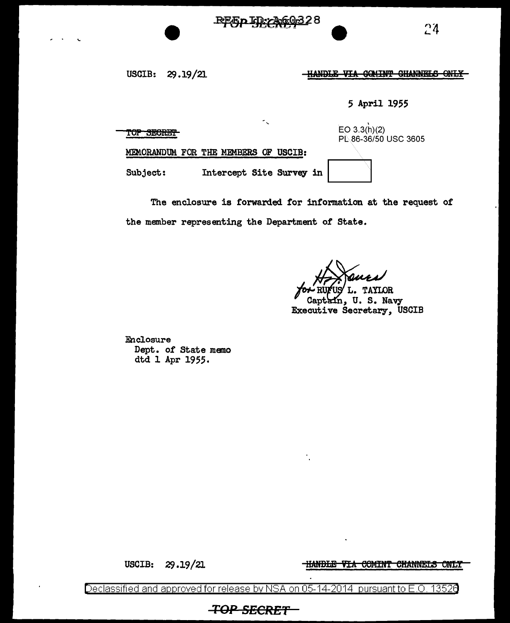REEDID-A60328

24

USCIB: 29.19/21

HANDLE VIA COMINT CHANNELS ONLY

5 April 1955

TOP SECRET

EO  $3.3(h)(2)$ PL 86-36/50 USC 3605

MEMORANDUM FOR THE MEMBERS OF USCIB:

Subject: Intercept Site Survey in

The enclosure is forwarded for information at the request of the member representing the Department of State.

**TAYLOR** Captain, U. S. Navy Executive Secretary, USCIB

Enclosure Dept. of State memo dtd 1 Apr 1955.

USCIB: 29.19/21 **HANDLE VIA COMINT CHANNELS ONLY** 

Declassified and approved for release by NSA on 05-14-2014  $\,$  pursuant to E.O. 13526  $\,$ 

**TOP SECRET**